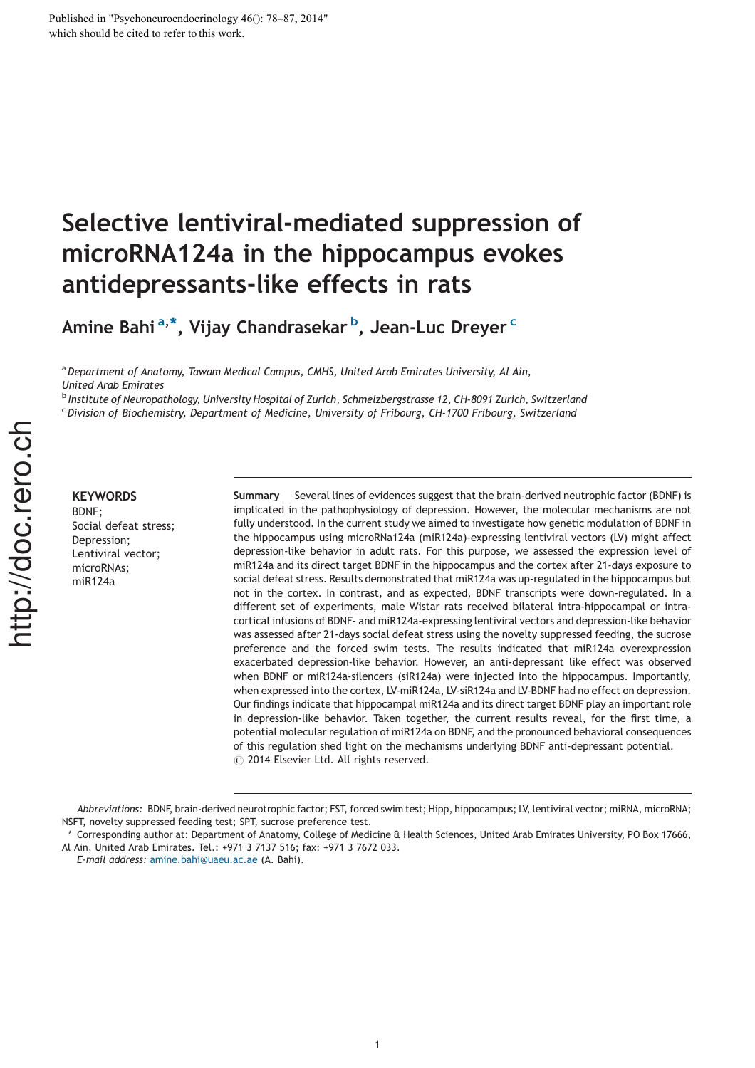# Selective lentiviral-mediated suppression of microRNA124a in the hippocampus evokes antidepressants-like effects in rats

Amine Bahi $^{\mathrm{a},\ast},$  Vijay Chandrasekar  $^{\mathrm{b}}$ , Jean-Luc Dreyer  $^{\mathrm{c}}$ 

<sup>a</sup> Department of Anatomy, Tawam Medical Campus, CMHS, United Arab Emirates University, Al Ain, United Arab Emirates

<sup>b</sup> Institute of Neuropathology, University Hospital of Zurich, Schmelzbergstrasse 12, CH-8091 Zurich, Switzerland

<sup>c</sup> Division of Biochemistry, Department of Medicine, University of Fribourg, CH-1700 Fribourg, Switzerland

**KEYWORDS** BDNF; Social defeat stress; Depression; Lentiviral vector; microRNAs; miR124a

Summary Several lines of evidences suggest that the brain-derived neutrophic factor (BDNF) is implicated in the pathophysiology of depression. However, the molecular mechanisms are not fully understood. In the current study we aimed to investigate how genetic modulation of BDNF in the hippocampus using microRNa124a (miR124a)-expressing lentiviral vectors (LV) might affect depression-like behavior in adult rats. For this purpose, we assessed the expression level of miR124a and its direct target BDNF in the hippocampus and the cortex after 21-days exposure to social defeat stress. Results demonstrated that miR124a was up-regulated in the hippocampus but not in the cortex. In contrast, and as expected, BDNF transcripts were down-regulated. In a different set of experiments, male Wistar rats received bilateral intra-hippocampal or intracortical infusions of BDNF- and miR124a-expressing lentiviral vectors and depression-like behavior was assessed after 21-days social defeat stress using the novelty suppressed feeding, the sucrose preference and the forced swim tests. The results indicated that miR124a overexpression exacerbated depression-like behavior. However, an anti-depressant like effect was observed when BDNF or miR124a-silencers (siR124a) were injected into the hippocampus. Importantly, when expressed into the cortex, LV-miR124a, LV-siR124a and LV-BDNF had no effect on depression. Our findings indicate that hippocampal miR124a and its direct target BDNF play an important role in depression-like behavior. Taken together, the current results reveal, for the first time, a potential molecular regulation of miR124a on BDNF, and the pronounced behavioral consequences of this regulation shed light on the mechanisms underlying BDNF anti-depressant potential.  $\odot$  2014 Elsevier Ltd. All rights reserved.

Abbreviations: BDNF, brain-derived neurotrophic factor; FST, forced swim test; Hipp, hippocampus; LV, lentiviral vector; miRNA, microRNA; NSFT, novelty suppressed feeding test; SPT, sucrose preference test.

Corresponding author at: Department of Anatomy, College of Medicine & Health Sciences, United Arab Emirates University, PO Box 17666, Al Ain, United Arab Emirates. Tel.: +971 3 7137 516; fax: +971 3 7672 033.

E-mail address: amine.bahi@uaeu.ac.ae (A. Bahi).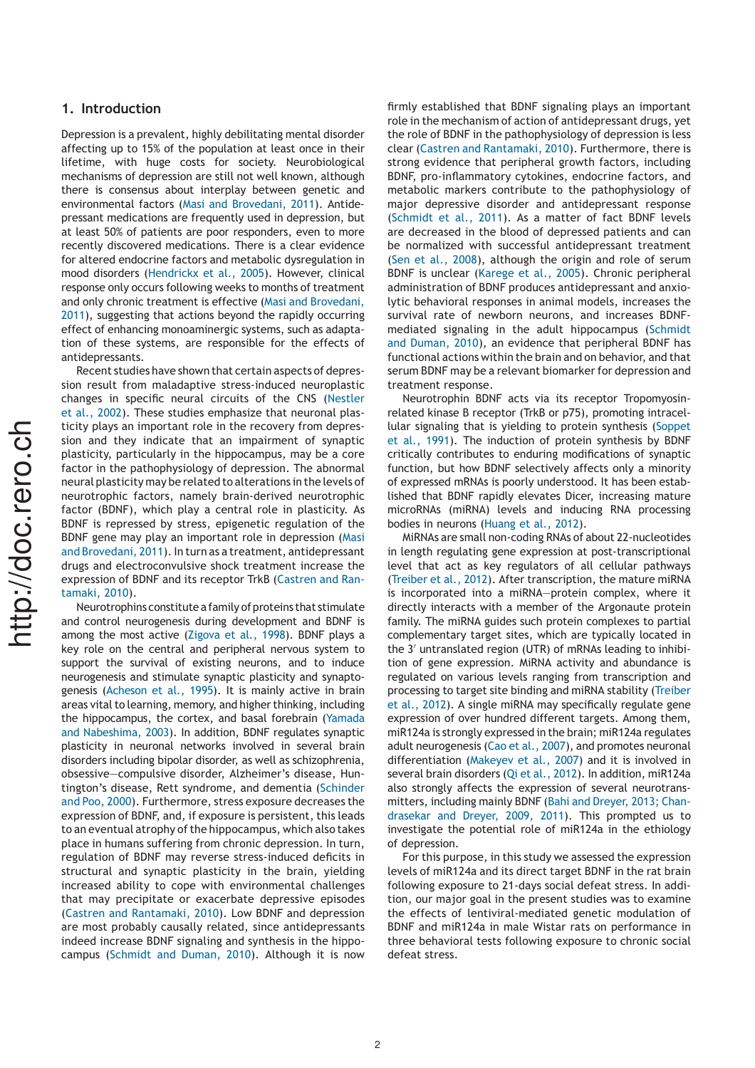## 1. Introduction

Depression is a prevalent, highly debilitating mental disorder affecting up to 15% of the population at least once in their lifetime, with huge costs for society. Neurobiological mechanisms of depression are still not well known, although there is consensus about interplay between genetic and environmental factors (Masi and Brovedani, 2011). Antidepressant medications are frequently used in depression, but at least 50% of patients are poor responders, even to more recently discovered medications. There is a clear evidence for altered endocrine factors and metabolic dysregulation in mood disorders (Hendrickx et al., 2005). However, clinical response only occurs following weeks to months of treatment and only chronic treatment is effective (Masi and Brovedani, 2011), suggesting that actions beyond the rapidly occurring effect of enhancing monoaminergic systems, such as adaptation of these systems, are responsible for the effects of antidepressants.

Recent studies have shown that certain aspects of depression result from maladaptive stress-induced neuroplastic changes in specific neural circuits of the CNS (Nestler et al., 2002). These studies emphasize that neuronal plasticity plays an important role in the recovery from depression and they indicate that an impairment of synaptic plasticity, particularly in the hippocampus, may be a core factor in the pathophysiology of depression. The abnormal neural plasticity may be related to alterationsin the levels of neurotrophic factors, namely brain-derived neurotrophic factor (BDNF), which play a central role in plasticity. As BDNF is repressed by stress, epigenetic regulation of the BDNF gene may play an important role in depression (Masi and Brovedani, 2011). In turn as a treatment, antidepressant drugs and electroconvulsive shock treatment increase the expression of BDNF and its receptor TrkB (Castren and Rantamaki, 2010).

Neurotrophins constitute a family of proteins that stimulate and control neurogenesis during development and BDNF is among the most active (Zigova et al., 1998). BDNF plays a key role on the central and peripheral nervous system to support the survival of existing neurons, and to induce neurogenesis and stimulate synaptic plasticity and synaptogenesis (Acheson et al., 1995). It is mainly active in brain areas vital to learning, memory, and higher thinking, including the hippocampus, the cortex, and basal forebrain (Yamada and Nabeshima, 2003). In addition, BDNF regulates synaptic plasticity in neuronal networks involved in several brain disorders including bipolar disorder, as well as schizophrenia, obsessive—compulsive disorder, Alzheimer's disease, Huntington's disease, Rett syndrome, and dementia (Schinder and Poo, 2000). Furthermore, stress exposure decreases the expression of BDNF, and, if exposure is persistent, this leads to an eventual atrophy of the hippocampus, which also takes place in humans suffering from chronic depression. In turn, regulation of BDNF may reverse stress-induced deficits in structural and synaptic plasticity in the brain, yielding increased ability to cope with environmental challenges that may precipitate or exacerbate depressive episodes (Castren and Rantamaki, 2010). Low BDNF and depression are most probably causally related, since antidepressants indeed increase BDNF signaling and synthesis in the hippocampus (Schmidt and Duman, 2010). Although it is now firmly established that BDNF signaling plays an important role in the mechanism of action of antidepressant drugs, yet the role of BDNF in the pathophysiology of depression is less clear (Castren and Rantamaki, 2010). Furthermore, there is strong evidence that peripheral growth factors, including BDNF, pro-inflammatory cytokines, endocrine factors, and metabolic markers contribute to the pathophysiology of major depressive disorder and antidepressant response (Schmidt et al., 2011). As a matter of fact BDNF levels are decreased in the blood of depressed patients and can be normalized with successful antidepressant treatment (Sen et al., 2008), although the origin and role of serum BDNF is unclear (Karege et al., 2005). Chronic peripheral administration of BDNF produces antidepressant and anxiolytic behavioral responses in animal models, increases the survival rate of newborn neurons, and increases BDNFmediated signaling in the adult hippocampus (Schmidt and Duman, 2010), an evidence that peripheral BDNF has functional actions within the brain and on behavior, and that serum BDNF may be a relevant biomarker for depression and treatment response.

Neurotrophin BDNF acts via its receptor Tropomyosinrelated kinase B receptor (TrkB or p75), promoting intracellular signaling that is yielding to protein synthesis (Soppet et al., 1991). The induction of protein synthesis by BDNF critically contributes to enduring modifications of synaptic function, but how BDNF selectively affects only a minority of expressed mRNAs is poorly understood. It has been established that BDNF rapidly elevates Dicer, increasing mature microRNAs (miRNA) levels and inducing RNA processing bodies in neurons (Huang et al., 2012).

MiRNAs are small non-coding RNAs of about 22-nucleotides in length regulating gene expression at post-transcriptional level that act as key regulators of all cellular pathways (Treiber et al., 2012). After transcription, the mature miRNA is incorporated into a miRNA—protein complex, where it directly interacts with a member of the Argonaute protein family. The miRNA guides such protein complexes to partial complementary target sites, which are typically located in the 3' untranslated region (UTR) of mRNAs leading to inhibition of gene expression. MiRNA activity and abundance is regulated on various levels ranging from transcription and processing to target site binding and miRNA stability (Treiber et al., 2012). A single miRNA may specifically regulate gene expression of over hundred different targets. Among them, miR124a isstrongly expressed in the brain; miR124a regulates adult neurogenesis (Cao et al., 2007), and promotes neuronal differentiation (Makeyev et al., 2007) and it is involved in several brain disorders (Qi et al., 2012). In addition, miR124a also strongly affects the expression of several neurotransmitters, including mainly BDNF (Bahi and Dreyer, 2013; Chandrasekar and Dreyer, 2009, 2011). This prompted us to investigate the potential role of miR124a in the ethiology of depression.

For this purpose, in this study we assessed the expression levels of miR124a and its direct target BDNF in the rat brain following exposure to 21-days social defeat stress. In addition, our major goal in the present studies was to examine the effects of lentiviral-mediated genetic modulation of BDNF and miR124a in male Wistar rats on performance in three behavioral tests following exposure to chronic social defeat stress.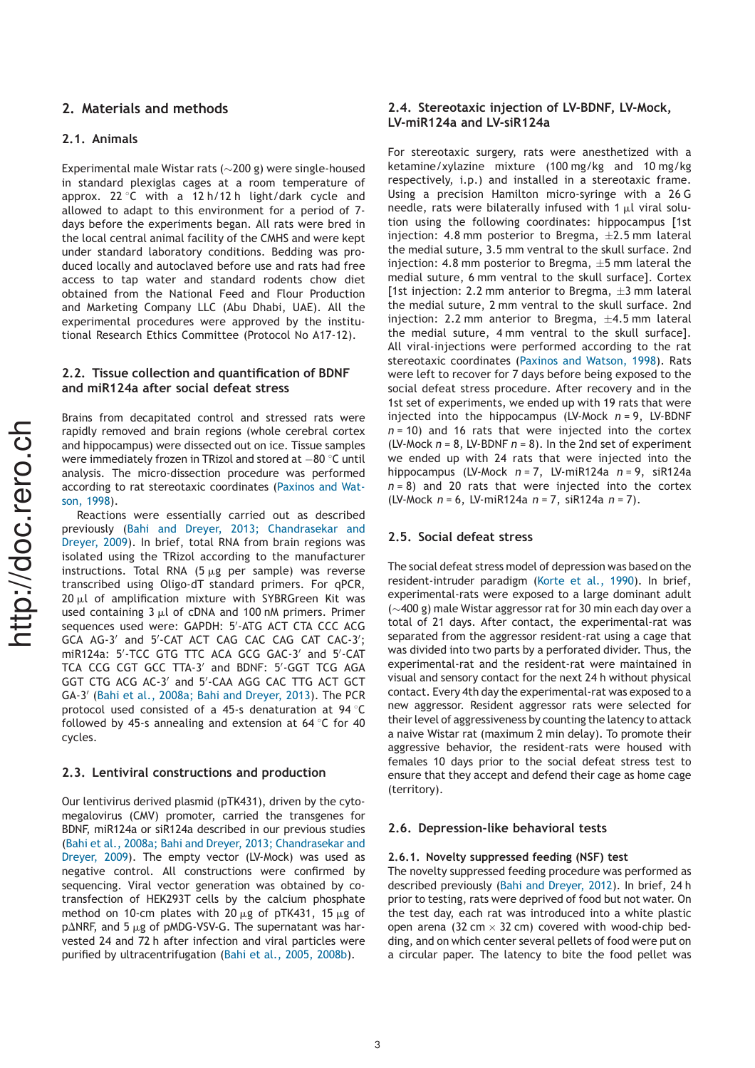## 2. Materials and methods

#### 2.1. Animals

Experimental male Wistar rats ( $\sim$ 200 g) were single-housed in standard plexiglas cages at a room temperature of approx. 22 °C with a 12 h/12 h light/dark cycle and allowed to adapt to this environment for a period of 7 days before the experiments began. All rats were bred in the local central animal facility of the CMHS and were kept under standard laboratory conditions. Bedding was produced locally and autoclaved before use and rats had free access to tap water and standard rodents chow diet obtained from the National Feed and Flour Production and Marketing Company LLC (Abu Dhabi, UAE). All the experimental procedures were approved by the institutional Research Ethics Committee (Protocol No A17-12).

#### 2.2. Tissue collection and quantification of BDNF and miR124a after social defeat stress

Brains from decapitated control and stressed rats were rapidly removed and brain regions (whole cerebral cortex and hippocampus) were dissected out on ice. Tissue samples were immediately frozen in TRizol and stored at  $-80$  °C until analysis. The micro-dissection procedure was performed according to rat stereotaxic coordinates (Paxinos and Watson, 1998).

Reactions were essentially carried out as described previously (Bahi and Dreyer, 2013; Chandrasekar and Dreyer, 2009). In brief, total RNA from brain regions was isolated using the TRizol according to the manufacturer instructions. Total RNA (5  $\mu$ g per sample) was reverse transcribed using Oligo-dT standard primers. For qPCR,  $20 \mu l$  of amplification mixture with SYBRGreen Kit was used containing  $3 \mu l$  of cDNA and 100 nM primers. Primer sequences used were: GAPDH: 5'-ATG ACT CTA CCC ACG GCA AG-3' and 5'-CAT ACT CAG CAC CAG CAT CAC-3'; miR124a: 5'-TCC GTG TTC ACA GCG GAC-3' and 5'-CAT TCA CCG CGT GCC TTA-3' and BDNF: 5'-GGT TCG AGA GGT CTG ACG AC-3' and 5'-CAA AGG CAC TTG ACT GCT GA-3' (Bahi et al., 2008a; Bahi and Dreyer, 2013). The PCR protocol used consisted of a 45-s denaturation at 94  $\degree$ C followed by 45-s annealing and extension at 64  $\degree$ C for 40 cycles.

## 2.3. Lentiviral constructions and production

Our lentivirus derived plasmid (pTK431), driven by the cytomegalovirus (CMV) promoter, carried the transgenes for BDNF, miR124a or siR124a described in our previous studies (Bahi et al., 2008a; Bahi and Dreyer, 2013; Chandrasekar and Dreyer, 2009). The empty vector (LV-Mock) was used as negative control. All constructions were confirmed by sequencing. Viral vector generation was obtained by cotransfection of HEK293T cells by the calcium phosphate method on 10-cm plates with 20  $\mu$ g of pTK431, 15  $\mu$ g of  $p\Delta$ NRF, and 5  $\mu$ g of pMDG-VSV-G. The supernatant was harvested 24 and 72 h after infection and viral particles were purified by ultracentrifugation (Bahi et al., 2005, 2008b).

## 2.4. Stereotaxic injection of LV-BDNF, LV-Mock, LV-miR124a and LV-siR124a

For stereotaxic surgery, rats were anesthetized with a ketamine/xylazine mixture (100 mg/kg and 10 mg/kg respectively, i.p.) and installed in a stereotaxic frame. Using a precision Hamilton micro-syringe with a 26 G needle, rats were bilaterally infused with 1  $\mu$ l viral solution using the following coordinates: hippocampus [1st injection: 4.8 mm posterior to Bregma,  $\pm 2.5$  mm lateral the medial suture, 3.5 mm ventral to the skull surface. 2nd injection: 4.8 mm posterior to Bregma,  $\pm 5$  mm lateral the medial suture, 6 mm ventral to the skull surface]. Cortex [1st injection: 2.2 mm anterior to Bregma,  $\pm 3$  mm lateral the medial suture, 2 mm ventral to the skull surface. 2nd injection: 2.2 mm anterior to Bregma,  $\pm 4.5$  mm lateral the medial suture, 4 mm ventral to the skull surface]. All viral-injections were performed according to the rat stereotaxic coordinates (Paxinos and Watson, 1998). Rats were left to recover for 7 days before being exposed to the social defeat stress procedure. After recovery and in the 1st set of experiments, we ended up with 19 rats that were injected into the hippocampus (LV-Mock  $n = 9$ , LV-BDNF  $n = 10$ ) and 16 rats that were injected into the cortex (LV-Mock  $n = 8$ , LV-BDNF  $n = 8$ ). In the 2nd set of experiment we ended up with 24 rats that were injected into the hippocampus (LV-Mock  $n = 7$ , LV-miR124a  $n = 9$ , siR124a  $n = 8$ ) and 20 rats that were injected into the cortex (LV-Mock  $n = 6$ , LV-miR124a  $n = 7$ , siR124a  $n = 7$ ).

### 2.5. Social defeat stress

The social defeat stress model of depression was based on the resident-intruder paradigm (Korte et al., 1990). In brief, experimental-rats were exposed to a large dominant adult  $(\sim$  400 g) male Wistar aggressor rat for 30 min each day over a total of 21 days. After contact, the experimental-rat was separated from the aggressor resident-rat using a cage that was divided into two parts by a perforated divider. Thus, the experimental-rat and the resident-rat were maintained in visual and sensory contact for the next 24 h without physical contact. Every 4th day the experimental-rat was exposed to a new aggressor. Resident aggressor rats were selected for their level of aggressiveness by counting the latency to attack a naive Wistar rat (maximum 2 min delay). To promote their aggressive behavior, the resident-rats were housed with females 10 days prior to the social defeat stress test to ensure that they accept and defend their cage as home cage (territory).

#### 2.6. Depression-like behavioral tests

#### 2.6.1. Novelty suppressed feeding (NSF) test

The novelty suppressed feeding procedure was performed as described previously (Bahi and Dreyer, 2012). In brief, 24 h prior to testing, rats were deprived of food but not water. On the test day, each rat was introduced into a white plastic open arena (32 cm  $\times$  32 cm) covered with wood-chip bedding, and on which center several pellets of food were put on a circular paper. The latency to bite the food pellet was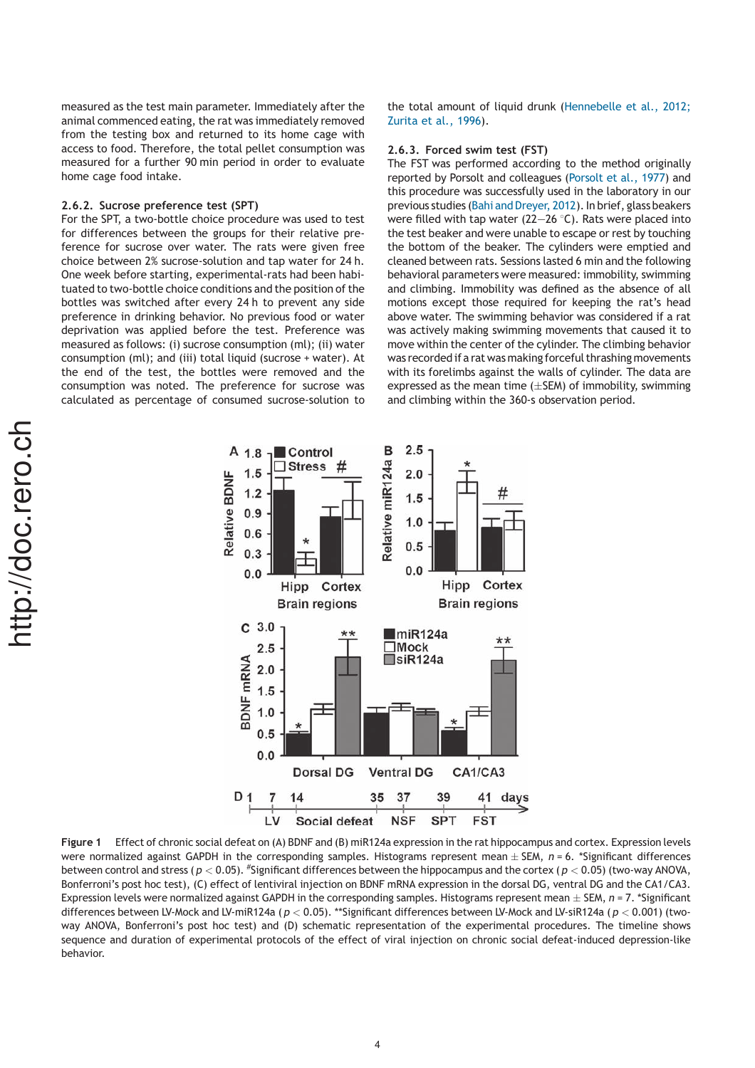measured as the test main parameter. Immediately after the animal commenced eating, the rat was immediately removed from the testing box and returned to its home cage with access to food. Therefore, the total pellet consumption was measured for a further 90 min period in order to evaluate home cage food intake.

#### 2.6.2. Sucrose preference test (SPT)

For the SPT, a two-bottle choice procedure was used to test for differences between the groups for their relative preference for sucrose over water. The rats were given free choice between 2% sucrose-solution and tap water for 24 h. One week before starting, experimental-rats had been habituated to two-bottle choice conditions and the position of the bottles was switched after every 24 h to prevent any side preference in drinking behavior. No previous food or water deprivation was applied before the test. Preference was measured as follows: (i) sucrose consumption (ml); (ii) water consumption (ml); and (iii) total liquid (sucrose + water). At the end of the test, the bottles were removed and the consumption was noted. The preference for sucrose was calculated as percentage of consumed sucrose-solution to the total amount of liquid drunk (Hennebelle et al., 2012; Zurita et al., 1996).

#### 2.6.3. Forced swim test (FST)

The FST was performed according to the method originally reported by Porsolt and colleagues (Porsolt et al., 1977) and this procedure was successfully used in the laboratory in our previous studies (Bahi and Dreyer, 2012). In brief, glass beakers were filled with tap water (22–26 $\degree$ C). Rats were placed into the test beaker and were unable to escape or rest by touching the bottom of the beaker. The cylinders were emptied and cleaned between rats. Sessions lasted 6 min and the following behavioral parameters were measured: immobility, swimming and climbing. Immobility was defined as the absence of all motions except those required for keeping the rat's head above water. The swimming behavior was considered if a rat was actively making swimming movements that caused it to move within the center of the cylinder. The climbing behavior was recorded if a rat was making forceful thrashing movements with its forelimbs against the walls of cylinder. The data are expressed as the mean time  $(\pm$ SEM) of immobility, swimming and climbing within the 360-s observation period.



Figure 1 Effect of chronic social defeat on (A) BDNF and (B) miR124a expression in the rat hippocampus and cortex. Expression levels were normalized against GAPDH in the corresponding samples. Histograms represent mean  $\pm$  SEM,  $n$  = 6. \*Significant differences between control and stress (  $p < 0.05$ ). "Significant differences between the hippocampus and the cortex (  $p < 0.05$ ) (two-way ANOVA, Bonferroni's post hoc test), (C) effect of lentiviral injection on BDNF mRNA expression in the dorsal DG, ventral DG and the CA1/CA3. Expression levels were normalized against GAPDH in the corresponding samples. Histograms represent mean  $\pm$  SEM,  $n = 7$ . \*Significant differences between LV-Mock and LV-miR124a ( $p < 0.05$ ). \*\*Significant differences between LV-Mock and LV-siR124a ( $p < 0.001$ ) (twoway ANOVA, Bonferroni's post hoc test) and (D) schematic representation of the experimental procedures. The timeline shows sequence and duration of experimental protocols of the effect of viral injection on chronic social defeat-induced depression-like behavior.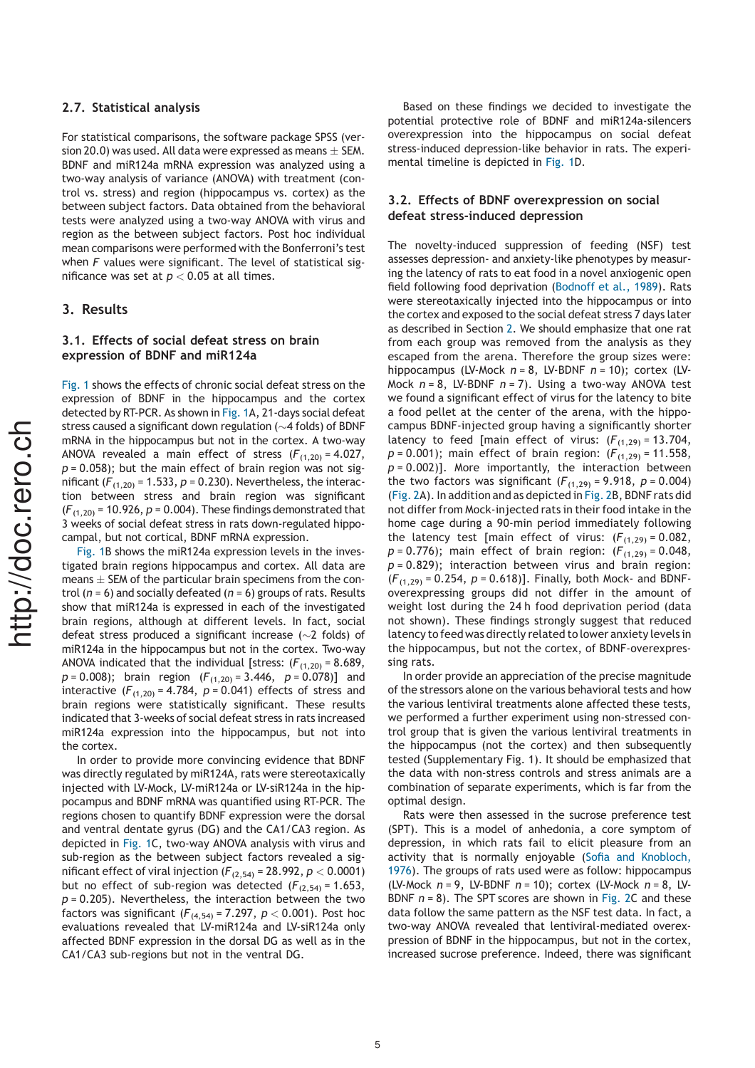#### 2.7. Statistical analysis

For statistical comparisons, the software package SPSS (version 20.0) was used. All data were expressed as means  $\pm$  SEM. BDNF and miR124a mRNA expression was analyzed using a two-way analysis of variance (ANOVA) with treatment (control vs. stress) and region (hippocampus vs. cortex) as the between subject factors. Data obtained from the behavioral tests were analyzed using a two-way ANOVA with virus and region as the between subject factors. Post hoc individual mean comparisons were performed with the Bonferroni's test when  $F$  values were significant. The level of statistical significance was set at  $p < 0.05$  at all times.

#### 3. Results

#### 3.1. Effects of social defeat stress on brain expression of BDNF and miR124a

Fig. 1 shows the effects of chronic social defeat stress on the expression of BDNF in the hippocampus and the cortex detected by RT-PCR. As shown in Fig. 1A, 21-days social defeat stress caused a significant down regulation ( $\sim$ 4 folds) of BDNF mRNA in the hippocampus but not in the cortex. A two-way ANOVA revealed a main effect of stress  $(F_{(1,20)} = 4.027$ ,  $p = 0.058$ ); but the main effect of brain region was not significant ( $F_{(1,20)}$  = 1.533, p = 0.230). Nevertheless, the interaction between stress and brain region was significant  $(F_{(1,20)} = 10.926, p = 0.004)$ . These findings demonstrated that 3 weeks of social defeat stress in rats down-regulated hippocampal, but not cortical, BDNF mRNA expression.

Fig. 1B shows the miR124a expression levels in the investigated brain regions hippocampus and cortex. All data are means  $\pm$  SEM of the particular brain specimens from the control ( $n = 6$ ) and socially defeated ( $n = 6$ ) groups of rats. Results show that miR124a is expressed in each of the investigated brain regions, although at different levels. In fact, social defeat stress produced a significant increase ( $\sim$ 2 folds) of miR124a in the hippocampus but not in the cortex. Two-way ANOVA indicated that the individual [stress:  $(F_{(1,20)} = 8.689)$ ,  $p = 0.008$ ; brain region  $(F_{(1,20)} = 3.446, p = 0.078)$ ] and interactive  $(F_{(1,20)} = 4.784, p = 0.041)$  effects of stress and brain regions were statistically significant. These results indicated that 3-weeks of social defeat stress in rats increased miR124a expression into the hippocampus, but not into the cortex.

In order to provide more convincing evidence that BDNF was directly regulated by miR124A, rats were stereotaxically injected with LV-Mock, LV-miR124a or LV-siR124a in the hippocampus and BDNF mRNA was quantified using RT-PCR. The regions chosen to quantify BDNF expression were the dorsal and ventral dentate gyrus (DG) and the CA1/CA3 region. As depicted in Fig. 1C, two-way ANOVA analysis with virus and sub-region as the between subject factors revealed a significant effect of viral injection ( $F_{(2,54)}$  = 28.992,  $p < 0.0001$ ) but no effect of sub-region was detected  $(F_{(2,54)} = 1.653)$ ,  $p = 0.205$ ). Nevertheless, the interaction between the two factors was significant ( $F_{(4,54)}$  = 7.297,  $p < 0.001$ ). Post hoc evaluations revealed that LV-miR124a and LV-siR124a only affected BDNF expression in the dorsal DG as well as in the CA1/CA3 sub-regions but not in the ventral DG.

Based on these findings we decided to investigate the potential protective role of BDNF and miR124a-silencers overexpression into the hippocampus on social defeat stress-induced depression-like behavior in rats. The experimental timeline is depicted in Fig. 1D.

### 3.2. Effects of BDNF overexpression on social defeat stress-induced depression

The novelty-induced suppression of feeding (NSF) test assesses depression- and anxiety-like phenotypes by measuring the latency of rats to eat food in a novel anxiogenic open field following food deprivation (Bodnoff et al., 1989). Rats were stereotaxically injected into the hippocampus or into the cortex and exposed to the social defeat stress 7 days later as described in Section 2. We should emphasize that one rat from each group was removed from the analysis as they escaped from the arena. Therefore the group sizes were: hippocampus (LV-Mock  $n = 8$ , LV-BDNF  $n = 10$ ); cortex (LV-Mock  $n = 8$ , LV-BDNF  $n = 7$ ). Using a two-way ANOVA test we found a significant effect of virus for the latency to bite a food pellet at the center of the arena, with the hippocampus BDNF-injected group having a significantly shorter latency to feed [main effect of virus:  $(F_{(1,29)} = 13.704,$  $p = 0.001$ ); main effect of brain region:  $(F_{(1,29)} = 11.558$ ,  $p = 0.002$ ]. More importantly, the interaction between the two factors was significant  $(F_{(1,29)} = 9.918, p = 0.004)$ (Fig. 2A). In addition and as depicted in Fig. 2B, BDNF rats did not differ from Mock-injected rats in their food intake in the home cage during a 90-min period immediately following the latency test [main effect of virus:  $(F_{(1,29)} = 0.082$ ,  $p = 0.776$ ); main effect of brain region:  $(F_{(1,29)} = 0.048$ ,  $p = 0.829$ ; interaction between virus and brain region:  $(F_{(1,29)} = 0.254, p = 0.618)$ . Finally, both Mock- and BDNFoverexpressing groups did not differ in the amount of weight lost during the 24 h food deprivation period (data not shown). These findings strongly suggest that reduced latency to feed was directly related to lower anxiety levelsin the hippocampus, but not the cortex, of BDNF-overexpressing rats.

In order provide an appreciation of the precise magnitude of the stressors alone on the various behavioral tests and how the various lentiviral treatments alone affected these tests, we performed a further experiment using non-stressed control group that is given the various lentiviral treatments in the hippocampus (not the cortex) and then subsequently tested (Supplementary Fig. 1). It should be emphasized that the data with non-stress controls and stress animals are a combination of separate experiments, which is far from the optimal design.

Rats were then assessed in the sucrose preference test (SPT). This is a model of anhedonia, a core symptom of depression, in which rats fail to elicit pleasure from an activity that is normally enjoyable (Sofia and Knobloch, 1976). The groups of rats used were as follow: hippocampus (LV-Mock  $n = 9$ , LV-BDNF  $n = 10$ ); cortex (LV-Mock  $n = 8$ , LV-BDNF  $n = 8$ ). The SPT scores are shown in Fig. 2C and these data follow the same pattern as the NSF test data. In fact, a two-way ANOVA revealed that lentiviral-mediated overexpression of BDNF in the hippocampus, but not in the cortex, increased sucrose preference. Indeed, there was significant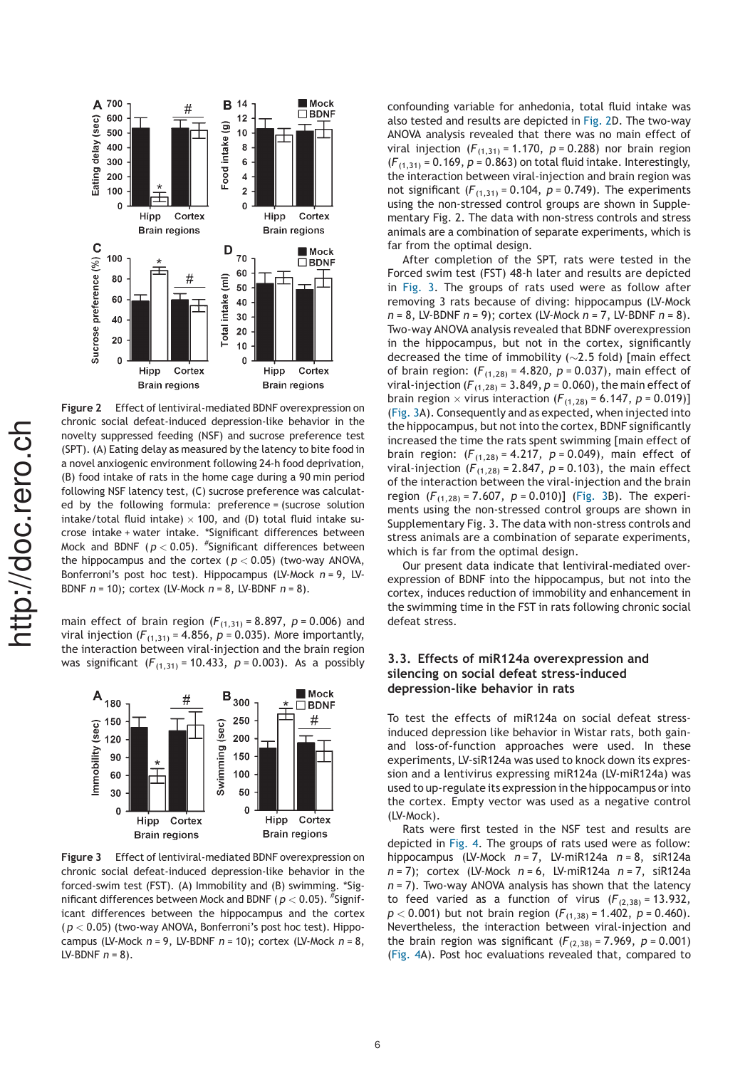

Figure 2 Effect of lentiviral-mediated BDNF overexpression on chronic social defeat-induced depression-like behavior in the novelty suppressed feeding (NSF) and sucrose preference test (SPT). (A) Eating delay as measured by the latency to bite food in a novel anxiogenic environment following 24-h food deprivation, (B) food intake of rats in the home cage during a 90 min period following NSF latency test, (C) sucrose preference was calculated by the following formula: preference = (sucrose solution intake/total fluid intake)  $\times$  100, and (D) total fluid intake sucrose intake + water intake. \*Significant differences between Mock and BDNF ( $p <$  0.05).  $^{\#}$ Significant differences between the hippocampus and the cortex ( $p < 0.05$ ) (two-way ANOVA, Bonferroni's post hoc test). Hippocampus (LV-Mock  $n = 9$ , LV-BDNF  $n = 10$ ); cortex (LV-Mock  $n = 8$ , LV-BDNF  $n = 8$ ).

main effect of brain region ( $F_{(1,31)} = 8.897$ ,  $p = 0.006$ ) and viral injection ( $F_{(1,31)}$  = 4.856,  $p = 0.035$ ). More importantly, the interaction between viral-injection and the brain region was significant  $(F_{(1,31)} = 10.433, p = 0.003)$ . As a possibly



Figure 3 Effect of lentiviral-mediated BDNF overexpression on chronic social defeat-induced depression-like behavior in the forced-swim test (FST). (A) Immobility and (B) swimming. \*Significant differences between Mock and BDNF (  $p < 0.05$  ).  $\mathrm{^{\#}Sig}$ nificant differences between the hippocampus and the cortex  $(p < 0.05)$  (two-way ANOVA, Bonferroni's post hoc test). Hippocampus (LV-Mock  $n = 9$ , LV-BDNF  $n = 10$ ); cortex (LV-Mock  $n = 8$ , LV-BDNF  $n = 8$ ).

confounding variable for anhedonia, total fluid intake was also tested and results are depicted in Fig. 2D. The two-way ANOVA analysis revealed that there was no main effect of viral injection ( $F_{(1,31)}$  = 1.170,  $p = 0.288$ ) nor brain region  $(F_{(1,31)} = 0.169, p = 0.863)$  on total fluid intake. Interestingly, the interaction between viral-injection and brain region was not significant  $(F_{(1,31)} = 0.104, p = 0.749)$ . The experiments using the non-stressed control groups are shown in Supplementary Fig. 2. The data with non-stress controls and stress animals are a combination of separate experiments, which is far from the optimal design.

After completion of the SPT, rats were tested in the Forced swim test (FST) 48-h later and results are depicted in Fig. 3. The groups of rats used were as follow after removing 3 rats because of diving: hippocampus (LV-Mock  $n = 8$ , LV-BDNF  $n = 9$ ; cortex (LV-Mock  $n = 7$ , LV-BDNF  $n = 8$ ). Two-way ANOVA analysis revealed that BDNF overexpression in the hippocampus, but not in the cortex, significantly decreased the time of immobility  $(\sim]2.5$  fold) [main effect of brain region:  $(F_{(1,28)} = 4.820, p = 0.037)$ , main effect of viral-injection ( $F_{(1,28)}$  = 3.849, p = 0.060), the main effect of brain region  $\times$  virus interaction ( $F_{(1,28)}$  = 6.147, p = 0.019)] (Fig. 3A). Consequently and as expected, when injected into the hippocampus, but not into the cortex, BDNF significantly increased the time the rats spent swimming [main effect of brain region:  $(F_{(1,28)} = 4.217, p = 0.049),$  main effect of viral-injection ( $F_{(1,28)}$  = 2.847,  $p$  = 0.103), the main effect of the interaction between the viral-injection and the brain region  $(F_{(1,28)} = 7.607, p = 0.010)$ ] (Fig. 3B). The experiments using the non-stressed control groups are shown in Supplementary Fig. 3. The data with non-stress controls and stress animals are a combination of separate experiments, which is far from the optimal design.

Our present data indicate that lentiviral-mediated overexpression of BDNF into the hippocampus, but not into the cortex, induces reduction of immobility and enhancement in the swimming time in the FST in rats following chronic social defeat stress.

## 3.3. Effects of miR124a overexpression and silencing on social defeat stress-induced depression-like behavior in rats

To test the effects of miR124a on social defeat stressinduced depression like behavior in Wistar rats, both gainand loss-of-function approaches were used. In these experiments, LV-siR124a was used to knock down its expression and a lentivirus expressing miR124a (LV-miR124a) was used to up-regulate its expression in the hippocampus or into the cortex. Empty vector was used as a negative control (LV-Mock).

Rats were first tested in the NSF test and results are depicted in Fig. 4. The groups of rats used were as follow: hippocampus (LV-Mock  $n = 7$ , LV-miR124a  $n = 8$ , siR124a  $n = 7$ ); cortex (LV-Mock  $n = 6$ , LV-miR124a  $n = 7$ , siR124a  $n = 7$ ). Two-way ANOVA analysis has shown that the latency to feed varied as a function of virus  $(F_{(2,38)} = 13.932)$ ,  $p < 0.001$ ) but not brain region  $(F_{(1,38)} = 1.402, p = 0.460)$ . Nevertheless, the interaction between viral-injection and the brain region was significant  $(F_{(2,38)} = 7.969, p = 0.001)$ (Fig. 4A). Post hoc evaluations revealed that, compared to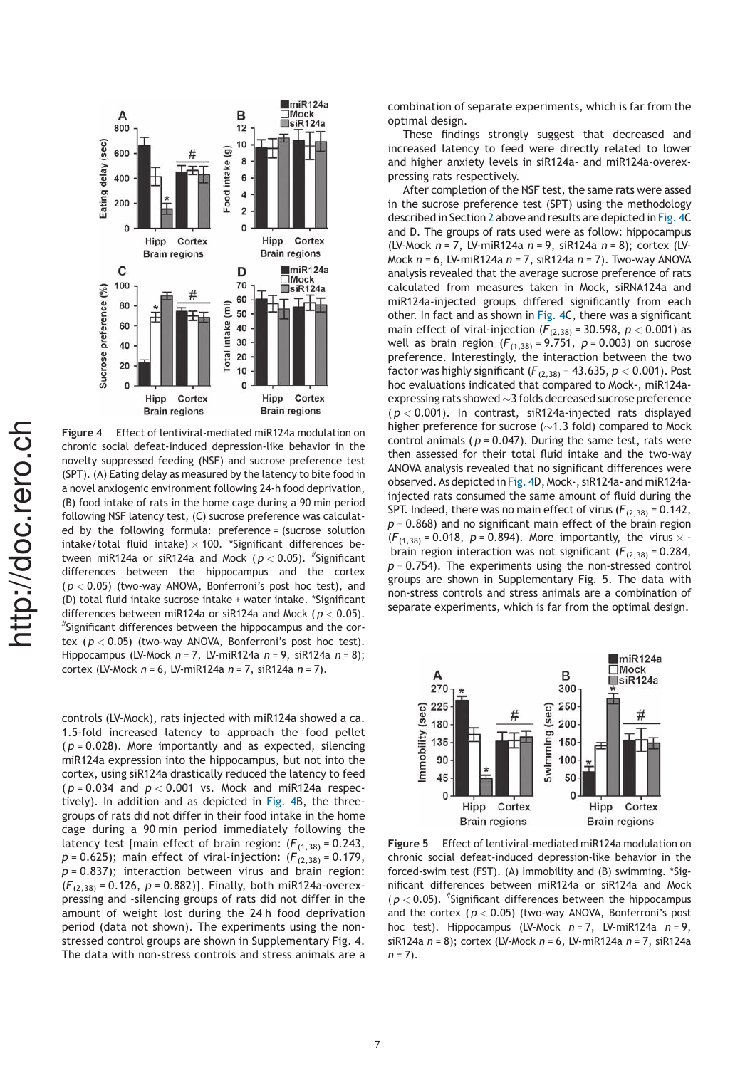

Figure 4 Effect of lentiviral-mediated miR124a modulation on chronic social defeat-induced depression-like behavior in the novelty suppressed feeding (NSF) and sucrose preference test (SPT). (A) Eating delay as measured by the latency to bite food in a novel anxiogenic environment following 24-h food deprivation, (B) food intake of rats in the home cage during a 90 min period following NSF latency test, (C) sucrose preference was calculated by the following formula: preference = (sucrose solution intake/total fluid intake)  $\times$  100. \*Significant differences between miR124a or siR124a and Mock ( $p <$  0.05).  $^\#$ Significant differences between the hippocampus and the cortex  $(p < 0.05)$  (two-way ANOVA, Bonferroni's post hoc test), and (D) total fluid intake sucrose intake + water intake. \*Significant differences between miR124a or siR124a and Mock ( $p < 0.05$ ). # Significant differences between the hippocampus and the cortex ( $p < 0.05$ ) (two-way ANOVA, Bonferroni's post hoc test). Hippocampus (LV-Mock  $n = 7$ , LV-miR124a  $n = 9$ , siR124a  $n = 8$ ); cortex (LV-Mock  $n = 6$ , LV-miR124a  $n = 7$ , siR124a  $n = 7$ ).

controls (LV-Mock), rats injected with miR124a showed a ca. 1.5-fold increased latency to approach the food pellet  $(p = 0.028)$ . More importantly and as expected, silencing miR124a expression into the hippocampus, but not into the cortex, using siR124a drastically reduced the latency to feed  $(p = 0.034$  and  $p < 0.001$  vs. Mock and miR124a respectively). In addition and as depicted in Fig. 4B, the threegroups of rats did not differ in their food intake in the home cage during a 90 min period immediately following the latency test [main effect of brain region:  $(F_{(1,38)} = 0.243$ ,  $p = 0.625$ ); main effect of viral-injection:  $(F_{(2,38)} = 0.179$ ,  $p = 0.837$ ); interaction between virus and brain region:  $(F_{(2,38)} = 0.126, p = 0.882)$ ]. Finally, both miR124a-overexpressing and -silencing groups of rats did not differ in the amount of weight lost during the 24 h food deprivation period (data not shown). The experiments using the nonstressed control groups are shown in Supplementary Fig. 4. The data with non-stress controls and stress animals are a

combination of separate experiments, which is far from the optimal design.

These findings strongly suggest that decreased and increased latency to feed were directly related to lower and higher anxiety levels in siR124a- and miR124a-overexpressing rats respectively.

After completion of the NSF test, the same rats were assed in the sucrose preference test (SPT) using the methodology described in Section 2 above and results are depicted in Fig. 4C and D. The groups of rats used were as follow: hippocampus (LV-Mock  $n = 7$ , LV-miR124a  $n = 9$ , siR124a  $n = 8$ ); cortex (LV-Mock  $n = 6$ , LV-miR124a  $n = 7$ , siR124a  $n = 7$ ). Two-way ANOVA analysis revealed that the average sucrose preference of rats calculated from measures taken in Mock, siRNA124a and miR124a-injected groups differed significantly from each other. In fact and as shown in Fig. 4C, there was a significant main effect of viral-injection  $(F_{(2,38)} = 30.598, p < 0.001)$  as well as brain region  $(F_{(1,38)} = 9.751, p = 0.003)$  on sucrose preference. Interestingly, the interaction between the two factor was highly significant  $(F_{(2,38)} = 43.635, p < 0.001)$ . Post hoc evaluations indicated that compared to Mock-, miR124aexpressing rats showed  $\sim$  3 folds decreased sucrose preference  $(p < 0.001)$ . In contrast, siR124a-injected rats displayed higher preference for sucrose ( $\sim$ 1.3 fold) compared to Mock control animals ( $p = 0.047$ ). During the same test, rats were then assessed for their total fluid intake and the two-way ANOVA analysis revealed that no significant differences were observed. As depicted in Fig. 4D, Mock-, siR124a- and miR124ainjected rats consumed the same amount of fluid during the SPT. Indeed, there was no main effect of virus ( $F_{(2,38)} = 0.142$ ,  $p = 0.868$ ) and no significant main effect of the brain region  $(F_{(1,38)} = 0.018, p = 0.894)$ . More importantly, the virus  $\times$  brain region interaction was not significant ( $F_{(2,38)}$  = 0.284,  $p = 0.754$ ). The experiments using the non-stressed control groups are shown in Supplementary Fig. 5. The data with non-stress controls and stress animals are a combination of separate experiments, which is far from the optimal design.



Figure 5 Effect of lentiviral-mediated miR124a modulation on chronic social defeat-induced depression-like behavior in the forced-swim test (FST). (A) Immobility and (B) swimming. \*Significant differences between miR124a or siR124a and Mock  $(p < 0.05)$ . "Significant differences between the hippocampus and the cortex  $(p < 0.05)$  (two-way ANOVA, Bonferroni's post hoc test). Hippocampus (LV-Mock  $n = 7$ , LV-miR124a  $n = 9$ , siR124a  $n = 8$ ); cortex (LV-Mock  $n = 6$ , LV-miR124a  $n = 7$ , siR124a  $n = 7$ ).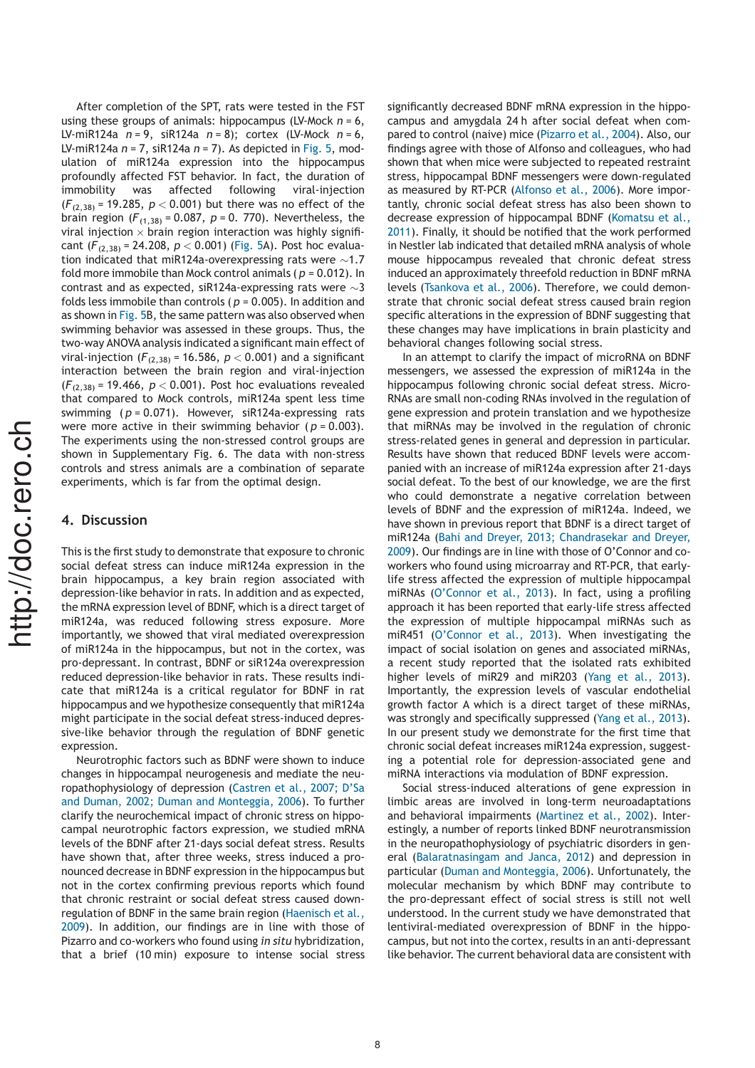After completion of the SPT, rats were tested in the FST using these groups of animals: hippocampus (LV-Mock  $n = 6$ , LV-miR124a  $n = 9$ , siR124a  $n = 8$ ); cortex (LV-Mock  $n = 6$ , LV-miR124a  $n = 7$ , siR124a  $n = 7$ ). As depicted in Fig. 5, modulation of miR124a expression into the hippocampus profoundly affected FST behavior. In fact, the duration of immobility was affected following viral-injection  $(F_{(2,38)} = 19.285, p < 0.001)$  but there was no effect of the brain region ( $F_{(1,38)}$  = 0.087, p = 0. 770). Nevertheless, the viral injection  $\times$  brain region interaction was highly significant  $(F_{(2,38)} = 24.208, p < 0.001)$  (Fig. 5A). Post hoc evaluation indicated that miR124a-overexpressing rats were  ${\sim}1.7$ fold more immobile than Mock control animals ( $p = 0.012$ ). In contrast and as expected, siR124a-expressing rats were  $\sim$ 3 folds less immobile than controls ( $p = 0.005$ ). In addition and as shown in Fig. 5B, the same pattern was also observed when swimming behavior was assessed in these groups. Thus, the two-way ANOVA analysisindicated a significant main effect of viral-injection ( $F_{(2,38)}$  = 16.586,  $p < 0.001$ ) and a significant interaction between the brain region and viral-injection  $(F_{(2,38)} = 19.466, p < 0.001)$ . Post hoc evaluations revealed that compared to Mock controls, miR124a spent less time swimming ( $p = 0.071$ ). However, siR124a-expressing rats were more active in their swimming behavior ( $p = 0.003$ ). The experiments using the non-stressed control groups are shown in Supplementary Fig. 6. The data with non-stress controls and stress animals are a combination of separate experiments, which is far from the optimal design.

## 4. Discussion

This is the first study to demonstrate that exposure to chronic social defeat stress can induce miR124a expression in the brain hippocampus, a key brain region associated with depression-like behavior in rats. In addition and as expected, the mRNA expression level of BDNF, which is a direct target of miR124a, was reduced following stress exposure. More importantly, we showed that viral mediated overexpression of miR124a in the hippocampus, but not in the cortex, was pro-depressant. In contrast, BDNF or siR124a overexpression reduced depression-like behavior in rats. These results indicate that miR124a is a critical regulator for BDNF in rat hippocampus and we hypothesize consequently that miR124a might participate in the social defeat stress-induced depressive-like behavior through the regulation of BDNF genetic expression.

Neurotrophic factors such as BDNF were shown to induce changes in hippocampal neurogenesis and mediate the neuropathophysiology of depression (Castren et al., 2007; D'Sa and Duman, 2002; Duman and Monteggia, 2006). To further clarify the neurochemical impact of chronic stress on hippocampal neurotrophic factors expression, we studied mRNA levels of the BDNF after 21-days social defeat stress. Results have shown that, after three weeks, stress induced a pronounced decrease in BDNF expression in the hippocampus but not in the cortex confirming previous reports which found that chronic restraint or social defeat stress caused downregulation of BDNF in the same brain region (Haenisch et al., 2009). In addition, our findings are in line with those of Pizarro and co-workers who found using in situ hybridization, that a brief (10 min) exposure to intense social stress

significantly decreased BDNF mRNA expression in the hippocampus and amygdala 24 h after social defeat when compared to control (naive) mice (Pizarro et al., 2004). Also, our findings agree with those of Alfonso and colleagues, who had shown that when mice were subjected to repeated restraint stress, hippocampal BDNF messengers were down-regulated as measured by RT-PCR (Alfonso et al., 2006). More importantly, chronic social defeat stress has also been shown to decrease expression of hippocampal BDNF (Komatsu et al., 2011). Finally, it should be notified that the work performed in Nestler lab indicated that detailed mRNA analysis of whole mouse hippocampus revealed that chronic defeat stress induced an approximately threefold reduction in BDNF mRNA levels (Tsankova et al., 2006). Therefore, we could demonstrate that chronic social defeat stress caused brain region specific alterations in the expression of BDNF suggesting that these changes may have implications in brain plasticity and behavioral changes following social stress.

In an attempt to clarify the impact of microRNA on BDNF messengers, we assessed the expression of miR124a in the hippocampus following chronic social defeat stress. Micro-RNAs are small non-coding RNAs involved in the regulation of gene expression and protein translation and we hypothesize that miRNAs may be involved in the regulation of chronic stress-related genes in general and depression in particular. Results have shown that reduced BDNF levels were accompanied with an increase of miR124a expression after 21-days social defeat. To the best of our knowledge, we are the first who could demonstrate a negative correlation between levels of BDNF and the expression of miR124a. Indeed, we have shown in previous report that BDNF is a direct target of miR124a (Bahi and Dreyer, 2013; Chandrasekar and Dreyer, 2009). Our findings are in line with those of O'Connor and coworkers who found using microarray and RT-PCR, that earlylife stress affected the expression of multiple hippocampal miRNAs (O'Connor et al., 2013). In fact, using a profiling approach it has been reported that early-life stress affected the expression of multiple hippocampal miRNAs such as miR451 (O'Connor et al., 2013). When investigating the impact of social isolation on genes and associated miRNAs, a recent study reported that the isolated rats exhibited higher levels of miR29 and miR203 (Yang et al., 2013). Importantly, the expression levels of vascular endothelial growth factor A which is a direct target of these miRNAs, was strongly and specifically suppressed (Yang et al., 2013). In our present study we demonstrate for the first time that chronic social defeat increases miR124a expression, suggesting a potential role for depression-associated gene and miRNA interactions via modulation of BDNF expression.

Social stress-induced alterations of gene expression in limbic areas are involved in long-term neuroadaptations and behavioral impairments (Martinez et al., 2002). Interestingly, a number of reports linked BDNF neurotransmission in the neuropathophysiology of psychiatric disorders in general (Balaratnasingam and Janca, 2012) and depression in particular (Duman and Monteggia, 2006). Unfortunately, the molecular mechanism by which BDNF may contribute to the pro-depressant effect of social stress is still not well understood. In the current study we have demonstrated that lentiviral-mediated overexpression of BDNF in the hippocampus, but not into the cortex, results in an anti-depressant like behavior. The current behavioral data are consistent with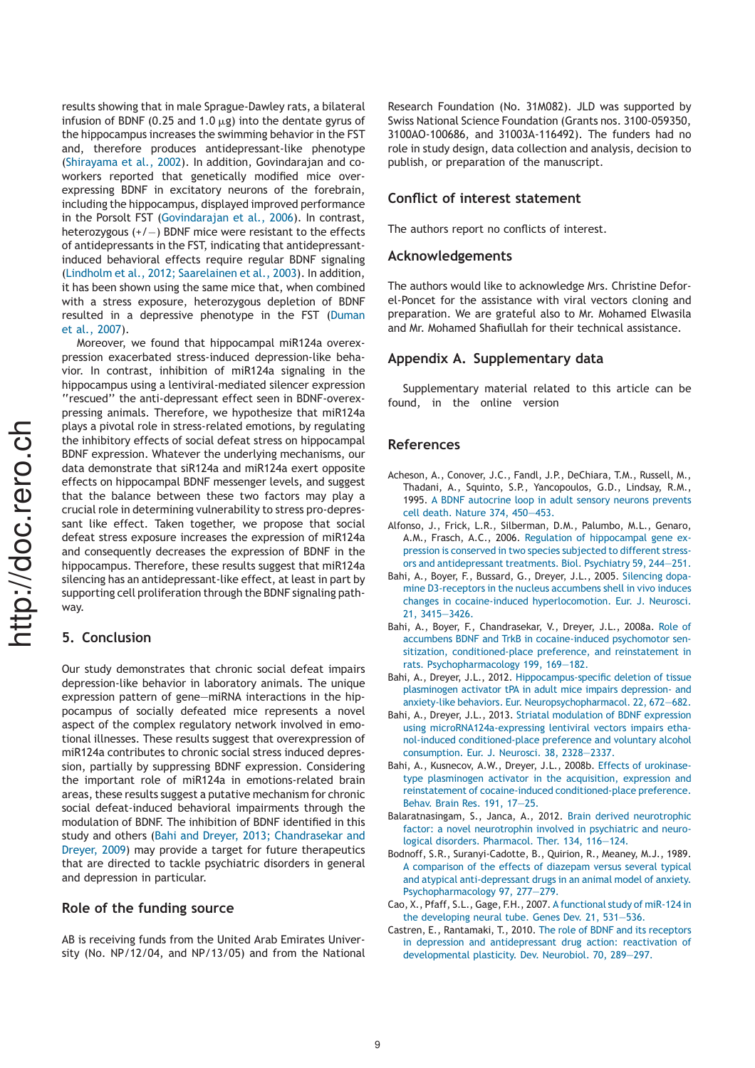results showing that in male Sprague-Dawley rats, a bilateral infusion of BDNF (0.25 and 1.0  $\mu$ g) into the dentate gyrus of the hippocampus increases the swimming behavior in the FST and, therefore produces antidepressant-like phenotype (Shirayama et al., 2002). In addition, Govindarajan and coworkers reported that genetically modified mice overexpressing BDNF in excitatory neurons of the forebrain, including the hippocampus, displayed improved performance in the Porsolt FST (Govindarajan et al., 2006). In contrast, heterozygous  $(+/-)$  BDNF mice were resistant to the effects of antidepressants in the FST, indicating that antidepressantinduced behavioral effects require regular BDNF signaling (Lindholm et al., 2012; Saarelainen et al., 2003). In addition, it has been shown using the same mice that, when combined with a stress exposure, heterozygous depletion of BDNF resulted in a depressive phenotype in the FST (Duman et al., 2007).

Moreover, we found that hippocampal miR124a overexpression exacerbated stress-induced depression-like behavior. In contrast, inhibition of miR124a signaling in the hippocampus using a lentiviral-mediated silencer expression ''rescued'' the anti-depressant effect seen in BDNF-overexpressing animals. Therefore, we hypothesize that miR124a plays a pivotal role in stress-related emotions, by regulating the inhibitory effects of social defeat stress on hippocampal BDNF expression. Whatever the underlying mechanisms, our data demonstrate that siR124a and miR124a exert opposite effects on hippocampal BDNF messenger levels, and suggest that the balance between these two factors may play a crucial role in determining vulnerability to stress pro-depressant like effect. Taken together, we propose that social defeat stress exposure increases the expression of miR124a and consequently decreases the expression of BDNF in the hippocampus. Therefore, these results suggest that miR124a silencing has an antidepressant-like effect, at least in part by supporting cell proliferation through the BDNF signaling pathway.

## 5. Conclusion

Our study demonstrates that chronic social defeat impairs depression-like behavior in laboratory animals. The unique expression pattern of gene—miRNA interactions in the hippocampus of socially defeated mice represents a novel aspect of the complex regulatory network involved in emotional illnesses. These results suggest that overexpression of miR124a contributes to chronic social stress induced depression, partially by suppressing BDNF expression. Considering the important role of miR124a in emotions-related brain areas, these results suggest a putative mechanism for chronic social defeat-induced behavioral impairments through the modulation of BDNF. The inhibition of BDNF identified in this study and others (Bahi and Dreyer, 2013; Chandrasekar and Dreyer, 2009) may provide a target for future therapeutics that are directed to tackle psychiatric disorders in general and depression in particular.

## Role of the funding source

AB is receiving funds from the United Arab Emirates University (No. NP/12/04, and NP/13/05) and from the National Research Foundation (No. 31M082). JLD was supported by Swiss National Science Foundation (Grants nos. 3100-059350, 3100AO-100686, and 31003A-116492). The funders had no role in study design, data collection and analysis, decision to publish, or preparation of the manuscript.

#### Conflict of interest statement

The authors report no conflicts of interest.

#### Acknowledgements

The authors would like to acknowledge Mrs. Christine Deforel-Poncet for the assistance with viral vectors cloning and preparation. We are grateful also to Mr. Mohamed Elwasila and Mr. Mohamed Shafiullah for their technical assistance.

#### Appendix A. Supplementary data

Supplementary material related to this article can be found, in the online version

#### References

- Acheson, A., Conover, J.C., Fandl, J.P., DeChiara, T.M., Russell, M., Thadani, A., Squinto, S.P., Yancopoulos, G.D., Lindsay, R.M., 1995. A BDNF autocrine loop in adult sensory neurons prevents cell death. Nature 374, 450—453.
- Alfonso, J., Frick, L.R., Silberman, D.M., Palumbo, M.L., Genaro, A.M., Frasch, A.C., 2006. Regulation of hippocampal gene expression is conserved in two species subjected to different stressors and antidepressant treatments. Biol. Psychiatry 59, 244—251.
- Bahi, A., Boyer, F., Bussard, G., Dreyer, J.L., 2005. Silencing dopamine D3-receptors in the nucleus accumbens shell in vivo induces changes in cocaine-induced hyperlocomotion. Eur. J. Neurosci. 21, 3415—3426.
- Bahi, A., Boyer, F., Chandrasekar, V., Dreyer, J.L., 2008a. Role of accumbens BDNF and TrkB in cocaine-induced psychomotor sensitization, conditioned-place preference, and reinstatement in rats. Psychopharmacology 199, 169—182.
- Bahi, A., Dreyer, J.L., 2012. Hippocampus-specific deletion of tissue plasminogen activator tPA in adult mice impairs depression- and anxiety-like behaviors. Eur. Neuropsychopharmacol. 22, 672—682.
- Bahi, A., Dreyer, J.L., 2013. Striatal modulation of BDNF expression using microRNA124a-expressing lentiviral vectors impairs ethanol-induced conditioned-place preference and voluntary alcohol consumption. Eur. J. Neurosci. 38, 2328—2337.
- Bahi, A., Kusnecov, A.W., Dreyer, J.L., 2008b. Effects of urokinasetype plasminogen activator in the acquisition, expression and reinstatement of cocaine-induced conditioned-place preference. Behav. Brain Res. 191, 17—25.
- Balaratnasingam, S., Janca, A., 2012. Brain derived neurotrophic factor: a novel neurotrophin involved in psychiatric and neurological disorders. Pharmacol. Ther. 134, 116—124.
- Bodnoff, S.R., Suranyi-Cadotte, B., Quirion, R., Meaney, M.J., 1989. A comparison of the effects of diazepam versus several typical and atypical anti-depressant drugs in an animal model of anxiety. Psychopharmacology 97, 277—279.
- Cao, X., Pfaff, S.L., Gage, F.H., 2007. A functional study of miR-124 in the developing neural tube. Genes Dev. 21, 531—536.
- Castren, E., Rantamaki, T., 2010. The role of BDNF and its receptors in depression and antidepressant drug action: reactivation of developmental plasticity. Dev. Neurobiol. 70, 289—297.